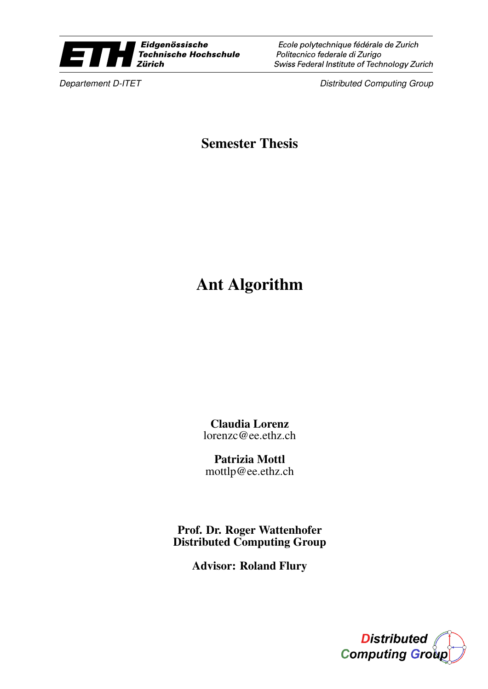

Ecole polytechnique fédérale de Zurich Politecnico federale di Zurigo Swiss Federal Institute of Technology Zurich

**Departement D-ITET** Distributed Computing Group

Semester Thesis

## Ant Algorithm

Claudia Lorenz lorenzc@ee.ethz.ch

Patrizia Mottl mottlp@ee.ethz.ch

Prof. Dr. Roger Wattenhofer Distributed Computing Group

Advisor: Roland Flury

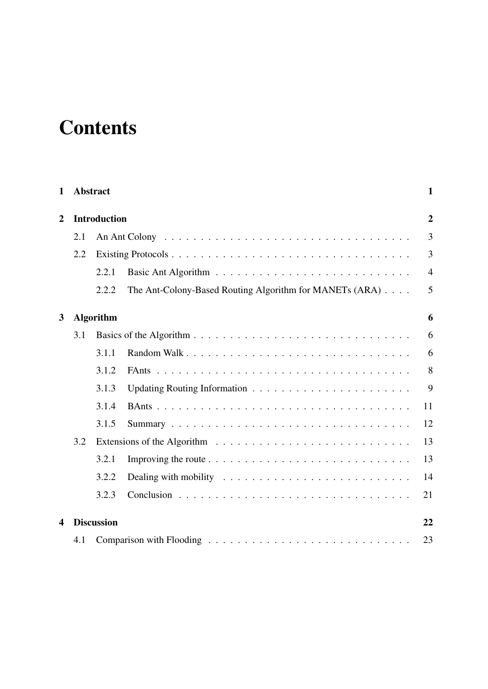# **Contents**

| $\mathbf{1}$   | <b>Abstract</b> |                     |                                                                                         | $\mathbf{1}$   |
|----------------|-----------------|---------------------|-----------------------------------------------------------------------------------------|----------------|
| $\overline{2}$ |                 | <b>Introduction</b> |                                                                                         | $\overline{2}$ |
|                | 2.1             |                     |                                                                                         | 3              |
|                | 2.2             |                     |                                                                                         | 3              |
|                |                 | 2.2.1               |                                                                                         | $\overline{4}$ |
|                |                 | 2.2.2               | The Ant-Colony-Based Routing Algorithm for MANETs (ARA)                                 | 5              |
| 3              |                 | <b>Algorithm</b>    |                                                                                         | 6              |
|                | 3.1             |                     |                                                                                         | 6              |
|                |                 | 3.1.1               |                                                                                         | 6              |
|                |                 | 3.1.2               |                                                                                         | 8              |
|                |                 | 3.1.3               |                                                                                         | 9              |
|                |                 | 3.1.4               |                                                                                         | 11             |
|                |                 | 3.1.5               |                                                                                         | 12             |
|                | 3.2             |                     |                                                                                         | 13             |
|                |                 | 3.2.1               | Improving the route $\dots \dots \dots \dots \dots \dots \dots \dots \dots \dots \dots$ | 13             |
|                |                 | 3.2.2               | Dealing with mobility $\ldots \ldots \ldots \ldots \ldots \ldots \ldots \ldots$         | 14             |
|                |                 | 3.2.3               |                                                                                         | 21             |
| 4              |                 | <b>Discussion</b>   |                                                                                         | 22             |
|                | 4.1             |                     |                                                                                         | 23             |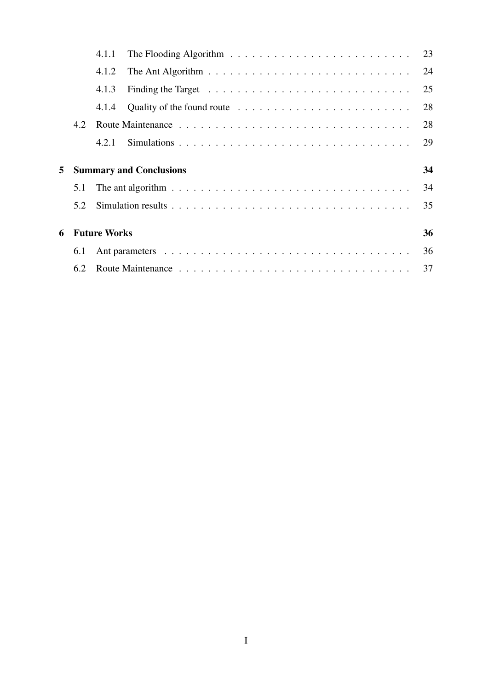|   |     | 4.1.1               | The Flooding Algorithm $\ldots \ldots \ldots \ldots \ldots \ldots \ldots \ldots$       | 23 |
|---|-----|---------------------|----------------------------------------------------------------------------------------|----|
|   |     | 4.1.2               | The Ant Algorithm $\ldots \ldots \ldots \ldots \ldots \ldots \ldots \ldots \ldots$     | 24 |
|   |     | 4.1.3               | Finding the Target $\dots \dots \dots \dots \dots \dots \dots \dots \dots \dots \dots$ | 25 |
|   |     | 4.1.4               | Quality of the found route $\dots \dots \dots \dots \dots \dots \dots \dots \dots$     | 28 |
|   | 4.2 |                     |                                                                                        | 28 |
|   |     | 4.2.1               |                                                                                        | 29 |
|   |     |                     |                                                                                        |    |
|   |     |                     |                                                                                        |    |
| 5 |     |                     | <b>Summary and Conclusions</b>                                                         | 34 |
|   | 5.1 |                     |                                                                                        | 34 |
|   | 5.2 |                     |                                                                                        | 35 |
|   |     |                     |                                                                                        |    |
| 6 |     | <b>Future Works</b> |                                                                                        | 36 |
|   | 6.1 |                     |                                                                                        | 36 |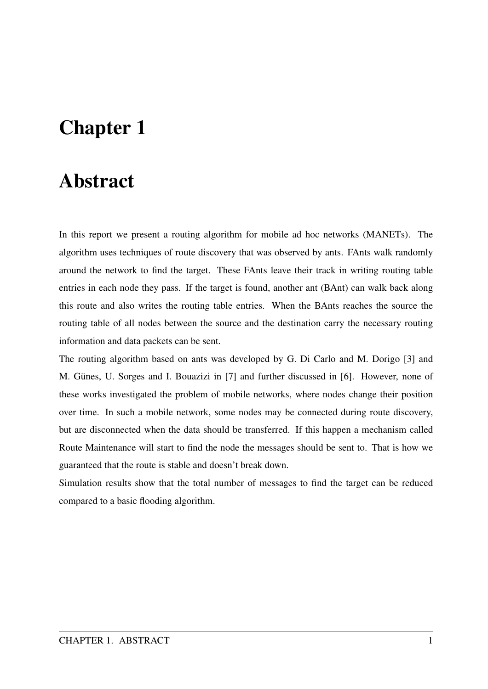# Chapter 1

## Abstract

In this report we present a routing algorithm for mobile ad hoc networks (MANETs). The algorithm uses techniques of route discovery that was observed by ants. FAnts walk randomly around the network to find the target. These FAnts leave their track in writing routing table entries in each node they pass. If the target is found, another ant (BAnt) can walk back along this route and also writes the routing table entries. When the BAnts reaches the source the routing table of all nodes between the source and the destination carry the necessary routing information and data packets can be sent.

The routing algorithm based on ants was developed by G. Di Carlo and M. Dorigo [3] and M. Günes, U. Sorges and I. Bouazizi in [7] and further discussed in [6]. However, none of these works investigated the problem of mobile networks, where nodes change their position over time. In such a mobile network, some nodes may be connected during route discovery, but are disconnected when the data should be transferred. If this happen a mechanism called Route Maintenance will start to find the node the messages should be sent to. That is how we guaranteed that the route is stable and doesn't break down.

Simulation results show that the total number of messages to find the target can be reduced compared to a basic flooding algorithm.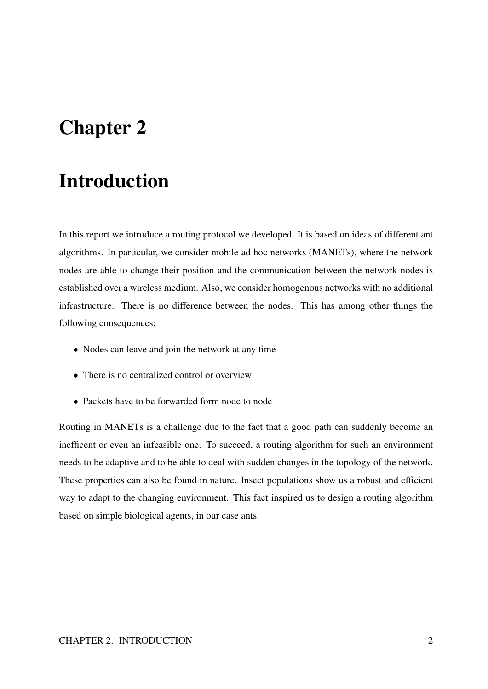# Chapter 2

# Introduction

In this report we introduce a routing protocol we developed. It is based on ideas of different ant algorithms. In particular, we consider mobile ad hoc networks (MANETs), where the network nodes are able to change their position and the communication between the network nodes is established over a wireless medium. Also, we consider homogenous networks with no additional infrastructure. There is no difference between the nodes. This has among other things the following consequences:

- Nodes can leave and join the network at any time
- There is no centralized control or overview
- Packets have to be forwarded form node to node

Routing in MANETs is a challenge due to the fact that a good path can suddenly become an inefficent or even an infeasible one. To succeed, a routing algorithm for such an environment needs to be adaptive and to be able to deal with sudden changes in the topology of the network. These properties can also be found in nature. Insect populations show us a robust and efficient way to adapt to the changing environment. This fact inspired us to design a routing algorithm based on simple biological agents, in our case ants.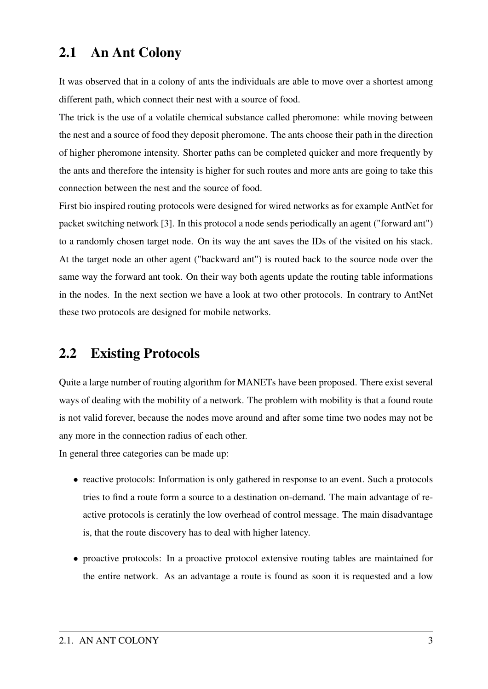## 2.1 An Ant Colony

It was observed that in a colony of ants the individuals are able to move over a shortest among different path, which connect their nest with a source of food.

The trick is the use of a volatile chemical substance called pheromone: while moving between the nest and a source of food they deposit pheromone. The ants choose their path in the direction of higher pheromone intensity. Shorter paths can be completed quicker and more frequently by the ants and therefore the intensity is higher for such routes and more ants are going to take this connection between the nest and the source of food.

First bio inspired routing protocols were designed for wired networks as for example AntNet for packet switching network [3]. In this protocol a node sends periodically an agent ("forward ant") to a randomly chosen target node. On its way the ant saves the IDs of the visited on his stack. At the target node an other agent ("backward ant") is routed back to the source node over the same way the forward ant took. On their way both agents update the routing table informations in the nodes. In the next section we have a look at two other protocols. In contrary to AntNet these two protocols are designed for mobile networks.

## 2.2 Existing Protocols

Quite a large number of routing algorithm for MANETs have been proposed. There exist several ways of dealing with the mobility of a network. The problem with mobility is that a found route is not valid forever, because the nodes move around and after some time two nodes may not be any more in the connection radius of each other.

In general three categories can be made up:

- reactive protocols: Information is only gathered in response to an event. Such a protocols tries to find a route form a source to a destination on-demand. The main advantage of reactive protocols is ceratinly the low overhead of control message. The main disadvantage is, that the route discovery has to deal with higher latency.
- proactive protocols: In a proactive protocol extensive routing tables are maintained for the entire network. As an advantage a route is found as soon it is requested and a low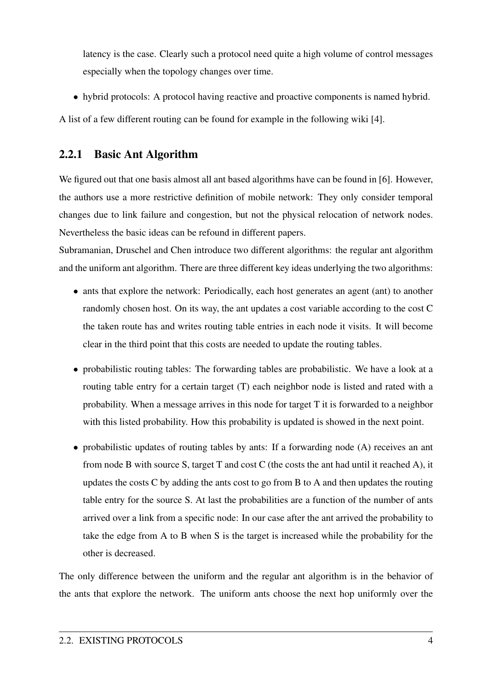latency is the case. Clearly such a protocol need quite a high volume of control messages especially when the topology changes over time.

• hybrid protocols: A protocol having reactive and proactive components is named hybrid.

A list of a few different routing can be found for example in the following wiki [4].

## 2.2.1 Basic Ant Algorithm

We figured out that one basis almost all ant based algorithms have can be found in [6]. However, the authors use a more restrictive definition of mobile network: They only consider temporal changes due to link failure and congestion, but not the physical relocation of network nodes. Nevertheless the basic ideas can be refound in different papers.

Subramanian, Druschel and Chen introduce two different algorithms: the regular ant algorithm and the uniform ant algorithm. There are three different key ideas underlying the two algorithms:

- ants that explore the network: Periodically, each host generates an agent (ant) to another randomly chosen host. On its way, the ant updates a cost variable according to the cost C the taken route has and writes routing table entries in each node it visits. It will become clear in the third point that this costs are needed to update the routing tables.
- probabilistic routing tables: The forwarding tables are probabilistic. We have a look at a routing table entry for a certain target (T) each neighbor node is listed and rated with a probability. When a message arrives in this node for target T it is forwarded to a neighbor with this listed probability. How this probability is updated is showed in the next point.
- probabilistic updates of routing tables by ants: If a forwarding node (A) receives an ant from node B with source S, target T and cost C (the costs the ant had until it reached A), it updates the costs C by adding the ants cost to go from B to A and then updates the routing table entry for the source S. At last the probabilities are a function of the number of ants arrived over a link from a specific node: In our case after the ant arrived the probability to take the edge from A to B when S is the target is increased while the probability for the other is decreased.

The only difference between the uniform and the regular ant algorithm is in the behavior of the ants that explore the network. The uniform ants choose the next hop uniformly over the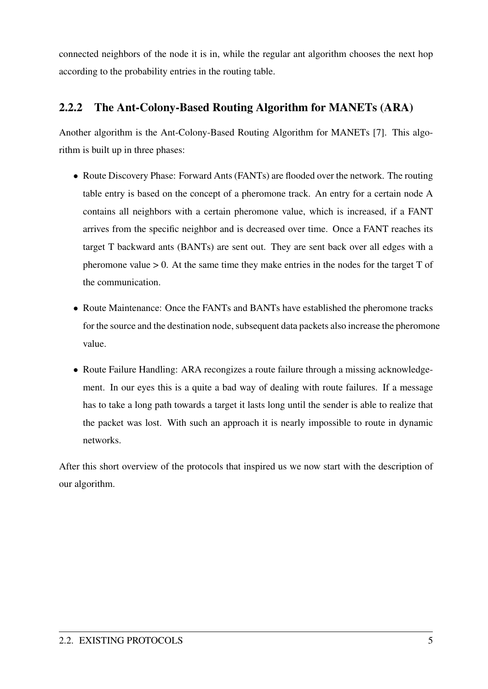connected neighbors of the node it is in, while the regular ant algorithm chooses the next hop according to the probability entries in the routing table.

## 2.2.2 The Ant-Colony-Based Routing Algorithm for MANETs (ARA)

Another algorithm is the Ant-Colony-Based Routing Algorithm for MANETs [7]. This algorithm is built up in three phases:

- Route Discovery Phase: Forward Ants (FANTs) are flooded over the network. The routing table entry is based on the concept of a pheromone track. An entry for a certain node A contains all neighbors with a certain pheromone value, which is increased, if a FANT arrives from the specific neighbor and is decreased over time. Once a FANT reaches its target T backward ants (BANTs) are sent out. They are sent back over all edges with a pheromone value  $> 0$ . At the same time they make entries in the nodes for the target  $T$  of the communication.
- Route Maintenance: Once the FANTs and BANTs have established the pheromone tracks for the source and the destination node, subsequent data packets also increase the pheromone value.
- Route Failure Handling: ARA recongizes a route failure through a missing acknowledgement. In our eyes this is a quite a bad way of dealing with route failures. If a message has to take a long path towards a target it lasts long until the sender is able to realize that the packet was lost. With such an approach it is nearly impossible to route in dynamic networks.

After this short overview of the protocols that inspired us we now start with the description of our algorithm.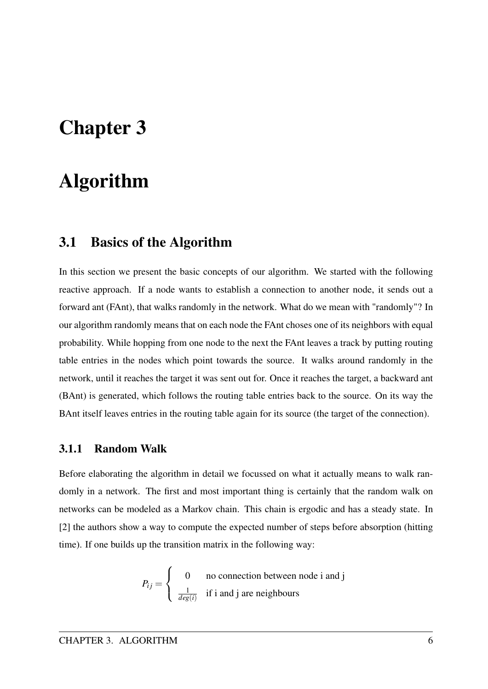## Chapter 3

# Algorithm

## 3.1 Basics of the Algorithm

In this section we present the basic concepts of our algorithm. We started with the following reactive approach. If a node wants to establish a connection to another node, it sends out a forward ant (FAnt), that walks randomly in the network. What do we mean with "randomly"? In our algorithm randomly means that on each node the FAnt choses one of its neighbors with equal probability. While hopping from one node to the next the FAnt leaves a track by putting routing table entries in the nodes which point towards the source. It walks around randomly in the network, until it reaches the target it was sent out for. Once it reaches the target, a backward ant (BAnt) is generated, which follows the routing table entries back to the source. On its way the BAnt itself leaves entries in the routing table again for its source (the target of the connection).

### 3.1.1 Random Walk

Before elaborating the algorithm in detail we focussed on what it actually means to walk randomly in a network. The first and most important thing is certainly that the random walk on networks can be modeled as a Markov chain. This chain is ergodic and has a steady state. In [2] the authors show a way to compute the expected number of steps before absorption (hitting time). If one builds up the transition matrix in the following way:

$$
P_{ij} = \begin{cases} 0 & \text{no connection between node i and j} \\ \frac{1}{deg(i)} & \text{if i and j are neighbours} \end{cases}
$$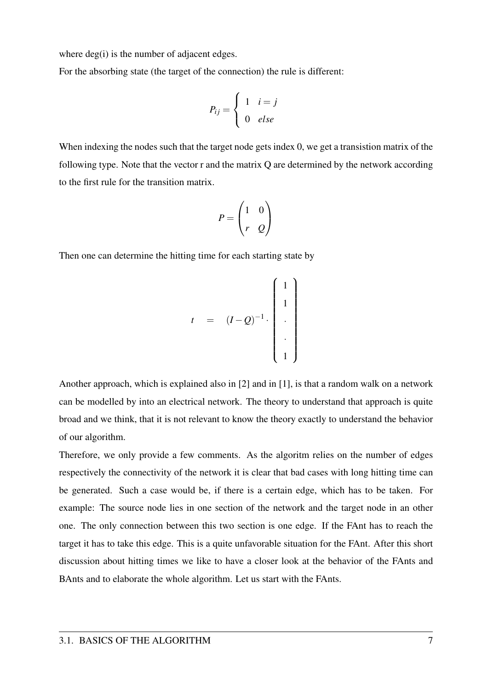where deg(i) is the number of adjacent edges.

For the absorbing state (the target of the connection) the rule is different:

$$
P_{ij} = \begin{cases} 1 & i = j \\ 0 & else \end{cases}
$$

When indexing the nodes such that the target node gets index 0, we get a transistion matrix of the following type. Note that the vector r and the matrix Q are determined by the network according to the first rule for the transition matrix.

$$
P = \begin{pmatrix} 1 & 0 \\ r & Q \end{pmatrix}
$$

Then one can determine the hitting time for each starting state by

$$
t = (I-Q)^{-1} \cdot \begin{pmatrix} 1 \\ 1 \\ \cdot \\ \cdot \\ \cdot \\ 1 \end{pmatrix}
$$

Another approach, which is explained also in [2] and in [1], is that a random walk on a network can be modelled by into an electrical network. The theory to understand that approach is quite broad and we think, that it is not relevant to know the theory exactly to understand the behavior of our algorithm.

Therefore, we only provide a few comments. As the algoritm relies on the number of edges respectively the connectivity of the network it is clear that bad cases with long hitting time can be generated. Such a case would be, if there is a certain edge, which has to be taken. For example: The source node lies in one section of the network and the target node in an other one. The only connection between this two section is one edge. If the FAnt has to reach the target it has to take this edge. This is a quite unfavorable situation for the FAnt. After this short discussion about hitting times we like to have a closer look at the behavior of the FAnts and BAnts and to elaborate the whole algorithm. Let us start with the FAnts.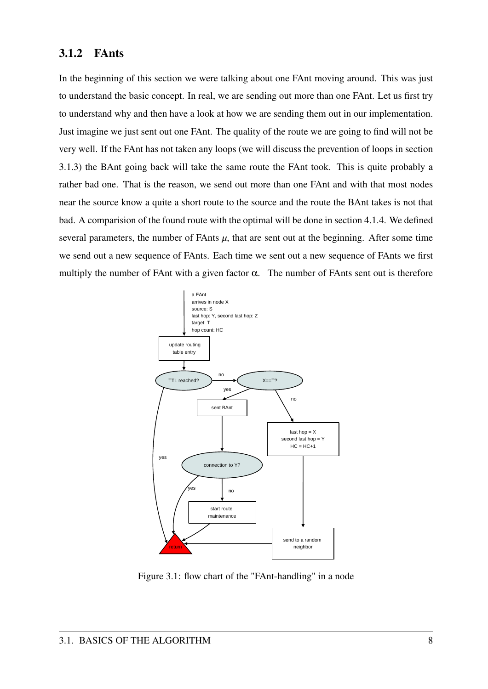### 3.1.2 FAnts

In the beginning of this section we were talking about one FAnt moving around. This was just to understand the basic concept. In real, we are sending out more than one FAnt. Let us first try to understand why and then have a look at how we are sending them out in our implementation. Just imagine we just sent out one FAnt. The quality of the route we are going to find will not be very well. If the FAnt has not taken any loops (we will discuss the prevention of loops in section 3.1.3) the BAnt going back will take the same route the FAnt took. This is quite probably a rather bad one. That is the reason, we send out more than one FAnt and with that most nodes near the source know a quite a short route to the source and the route the BAnt takes is not that bad. A comparision of the found route with the optimal will be done in section 4.1.4. We defined several parameters, the number of FAnts  $\mu$ , that are sent out at the beginning. After some time we send out a new sequence of FAnts. Each time we sent out a new sequence of FAnts we first multiply the number of FAnt with a given factor  $\alpha$ . The number of FAnts sent out is therefore



Figure 3.1: flow chart of the "FAnt-handling" in a node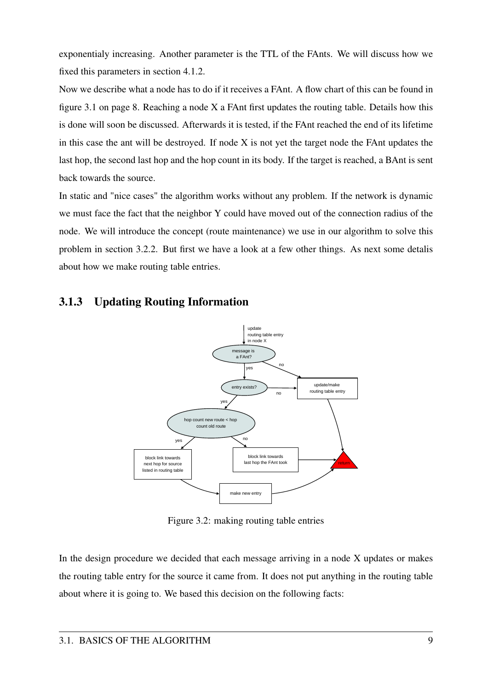exponentialy increasing. Another parameter is the TTL of the FAnts. We will discuss how we fixed this parameters in section 4.1.2.

Now we describe what a node has to do if it receives a FAnt. A flow chart of this can be found in figure 3.1 on page 8. Reaching a node  $X$  a FAnt first updates the routing table. Details how this is done will soon be discussed. Afterwards it is tested, if the FAnt reached the end of its lifetime in this case the ant will be destroyed. If node X is not yet the target node the FAnt updates the last hop, the second last hop and the hop count in its body. If the target is reached, a BAnt is sent back towards the source.

In static and "nice cases" the algorithm works without any problem. If the network is dynamic we must face the fact that the neighbor Y could have moved out of the connection radius of the node. We will introduce the concept (route maintenance) we use in our algorithm to solve this problem in section 3.2.2. But first we have a look at a few other things. As next some detalis about how we make routing table entries.



## 3.1.3 Updating Routing Information

Figure 3.2: making routing table entries

In the design procedure we decided that each message arriving in a node X updates or makes the routing table entry for the source it came from. It does not put anything in the routing table about where it is going to. We based this decision on the following facts: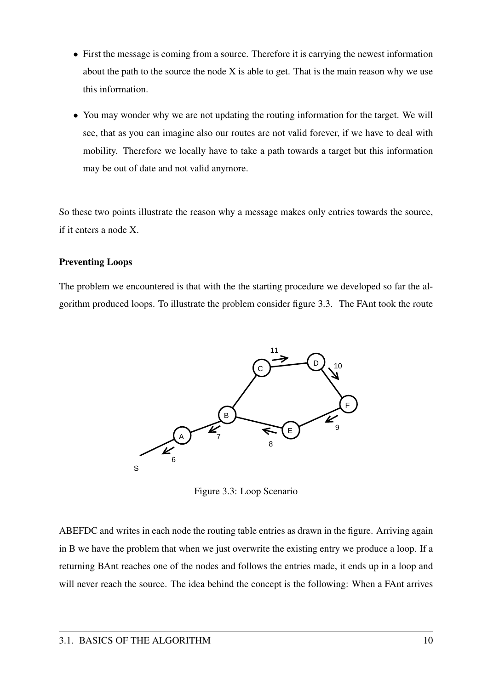- First the message is coming from a source. Therefore it is carrying the newest information about the path to the source the node  $X$  is able to get. That is the main reason why we use this information.
- You may wonder why we are not updating the routing information for the target. We will see, that as you can imagine also our routes are not valid forever, if we have to deal with mobility. Therefore we locally have to take a path towards a target but this information may be out of date and not valid anymore.

So these two points illustrate the reason why a message makes only entries towards the source, if it enters a node X.

#### Preventing Loops

The problem we encountered is that with the the starting procedure we developed so far the algorithm produced loops. To illustrate the problem consider figure 3.3. The FAnt took the route



Figure 3.3: Loop Scenario

ABEFDC and writes in each node the routing table entries as drawn in the figure. Arriving again in B we have the problem that when we just overwrite the existing entry we produce a loop. If a returning BAnt reaches one of the nodes and follows the entries made, it ends up in a loop and will never reach the source. The idea behind the concept is the following: When a FAnt arrives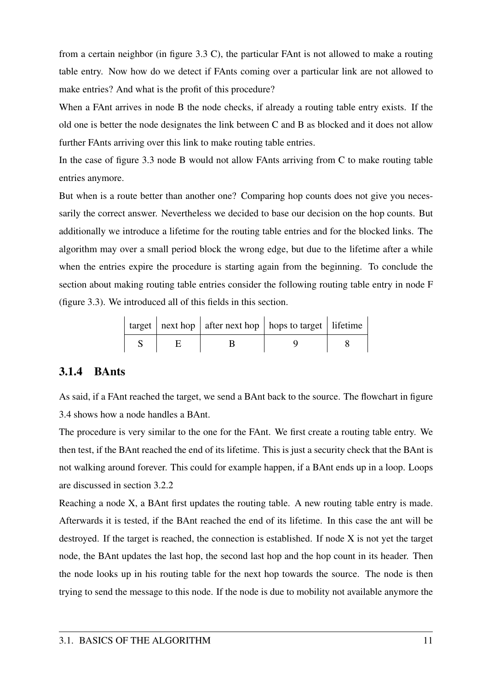from a certain neighbor (in figure 3.3 C), the particular FAnt is not allowed to make a routing table entry. Now how do we detect if FAnts coming over a particular link are not allowed to make entries? And what is the profit of this procedure?

When a FAnt arrives in node B the node checks, if already a routing table entry exists. If the old one is better the node designates the link between C and B as blocked and it does not allow further FAnts arriving over this link to make routing table entries.

In the case of figure 3.3 node B would not allow FAnts arriving from C to make routing table entries anymore.

But when is a route better than another one? Comparing hop counts does not give you necessarily the correct answer. Nevertheless we decided to base our decision on the hop counts. But additionally we introduce a lifetime for the routing table entries and for the blocked links. The algorithm may over a small period block the wrong edge, but due to the lifetime after a while when the entries expire the procedure is starting again from the beginning. To conclude the section about making routing table entries consider the following routing table entry in node F (figure 3.3). We introduced all of this fields in this section.

|  | $\vert$ target $\vert$ next hop $\vert$ after next hop $\vert$ hops to target $\vert$ lifetime $\vert$ |  |
|--|--------------------------------------------------------------------------------------------------------|--|
|  |                                                                                                        |  |

### 3.1.4 BAnts

As said, if a FAnt reached the target, we send a BAnt back to the source. The flowchart in figure 3.4 shows how a node handles a BAnt.

The procedure is very similar to the one for the FAnt. We first create a routing table entry. We then test, if the BAnt reached the end of its lifetime. This is just a security check that the BAnt is not walking around forever. This could for example happen, if a BAnt ends up in a loop. Loops are discussed in section 3.2.2

Reaching a node X, a BAnt first updates the routing table. A new routing table entry is made. Afterwards it is tested, if the BAnt reached the end of its lifetime. In this case the ant will be destroyed. If the target is reached, the connection is established. If node X is not yet the target node, the BAnt updates the last hop, the second last hop and the hop count in its header. Then the node looks up in his routing table for the next hop towards the source. The node is then trying to send the message to this node. If the node is due to mobility not available anymore the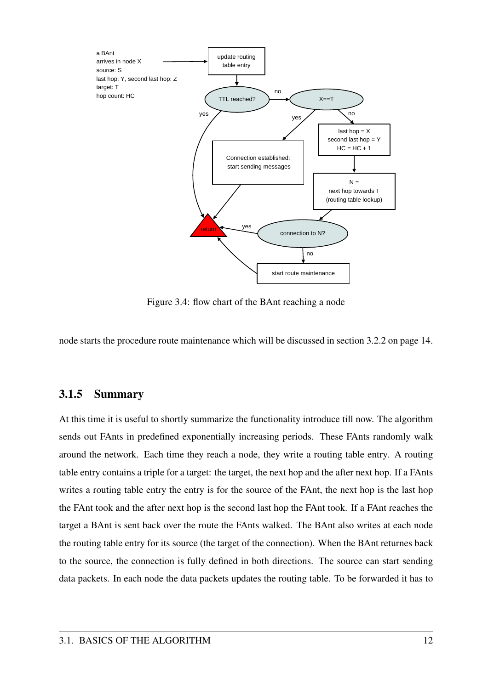

Figure 3.4: flow chart of the BAnt reaching a node

node starts the procedure route maintenance which will be discussed in section 3.2.2 on page 14.

#### 3.1.5 Summary

At this time it is useful to shortly summarize the functionality introduce till now. The algorithm sends out FAnts in predefined exponentially increasing periods. These FAnts randomly walk around the network. Each time they reach a node, they write a routing table entry. A routing table entry contains a triple for a target: the target, the next hop and the after next hop. If a FAnts writes a routing table entry the entry is for the source of the FAnt, the next hop is the last hop the FAnt took and the after next hop is the second last hop the FAnt took. If a FAnt reaches the target a BAnt is sent back over the route the FAnts walked. The BAnt also writes at each node the routing table entry for its source (the target of the connection). When the BAnt returnes back to the source, the connection is fully defined in both directions. The source can start sending data packets. In each node the data packets updates the routing table. To be forwarded it has to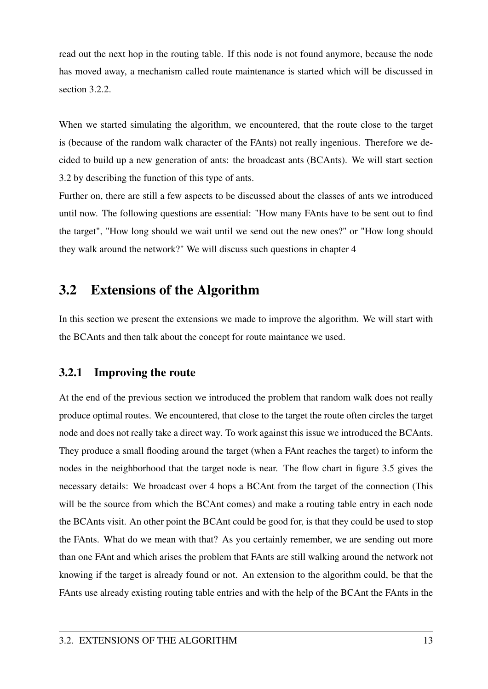read out the next hop in the routing table. If this node is not found anymore, because the node has moved away, a mechanism called route maintenance is started which will be discussed in section 3.2.2.

When we started simulating the algorithm, we encountered, that the route close to the target is (because of the random walk character of the FAnts) not really ingenious. Therefore we decided to build up a new generation of ants: the broadcast ants (BCAnts). We will start section 3.2 by describing the function of this type of ants.

Further on, there are still a few aspects to be discussed about the classes of ants we introduced until now. The following questions are essential: "How many FAnts have to be sent out to find the target", "How long should we wait until we send out the new ones?" or "How long should they walk around the network?" We will discuss such questions in chapter 4

## 3.2 Extensions of the Algorithm

In this section we present the extensions we made to improve the algorithm. We will start with the BCAnts and then talk about the concept for route maintance we used.

## 3.2.1 Improving the route

At the end of the previous section we introduced the problem that random walk does not really produce optimal routes. We encountered, that close to the target the route often circles the target node and does not really take a direct way. To work against this issue we introduced the BCAnts. They produce a small flooding around the target (when a FAnt reaches the target) to inform the nodes in the neighborhood that the target node is near. The flow chart in figure 3.5 gives the necessary details: We broadcast over 4 hops a BCAnt from the target of the connection (This will be the source from which the BCAnt comes) and make a routing table entry in each node the BCAnts visit. An other point the BCAnt could be good for, is that they could be used to stop the FAnts. What do we mean with that? As you certainly remember, we are sending out more than one FAnt and which arises the problem that FAnts are still walking around the network not knowing if the target is already found or not. An extension to the algorithm could, be that the FAnts use already existing routing table entries and with the help of the BCAnt the FAnts in the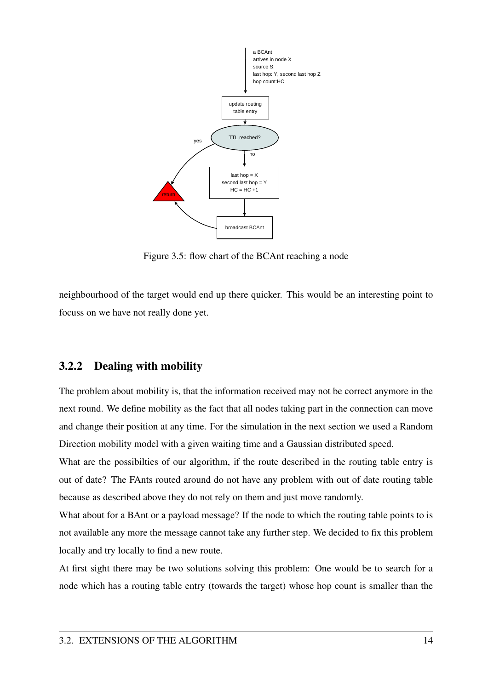

Figure 3.5: flow chart of the BCAnt reaching a node

neighbourhood of the target would end up there quicker. This would be an interesting point to focuss on we have not really done yet.

### 3.2.2 Dealing with mobility

The problem about mobility is, that the information received may not be correct anymore in the next round. We define mobility as the fact that all nodes taking part in the connection can move and change their position at any time. For the simulation in the next section we used a Random Direction mobility model with a given waiting time and a Gaussian distributed speed.

What are the possibilties of our algorithm, if the route described in the routing table entry is out of date? The FAnts routed around do not have any problem with out of date routing table because as described above they do not rely on them and just move randomly.

What about for a BAnt or a payload message? If the node to which the routing table points to is not available any more the message cannot take any further step. We decided to fix this problem locally and try locally to find a new route.

At first sight there may be two solutions solving this problem: One would be to search for a node which has a routing table entry (towards the target) whose hop count is smaller than the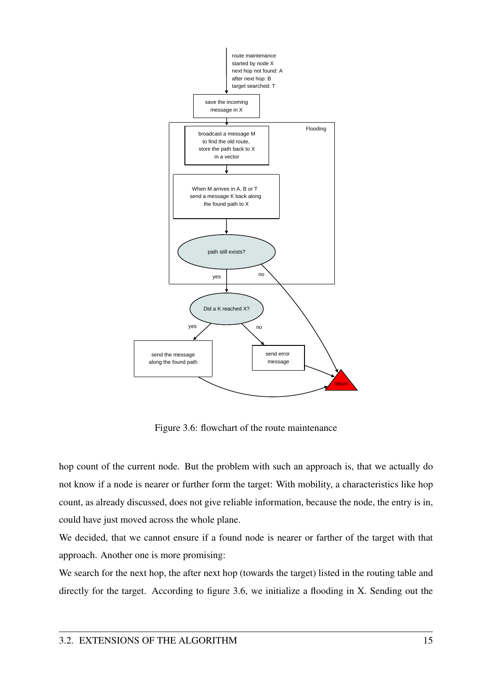

Figure 3.6: flowchart of the route maintenance

hop count of the current node. But the problem with such an approach is, that we actually do not know if a node is nearer or further form the target: With mobility, a characteristics like hop count, as already discussed, does not give reliable information, because the node, the entry is in, could have just moved across the whole plane.

We decided, that we cannot ensure if a found node is nearer or farther of the target with that approach. Another one is more promising:

We search for the next hop, the after next hop (towards the target) listed in the routing table and directly for the target. According to figure 3.6, we initialize a flooding in X. Sending out the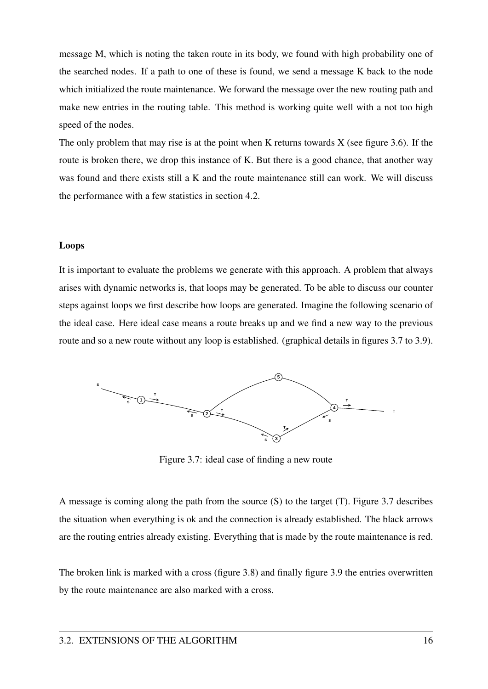message M, which is noting the taken route in its body, we found with high probability one of the searched nodes. If a path to one of these is found, we send a message K back to the node which initialized the route maintenance. We forward the message over the new routing path and make new entries in the routing table. This method is working quite well with a not too high speed of the nodes.

The only problem that may rise is at the point when K returns towards  $X$  (see figure 3.6). If the route is broken there, we drop this instance of K. But there is a good chance, that another way was found and there exists still a K and the route maintenance still can work. We will discuss the performance with a few statistics in section 4.2.

#### Loops

It is important to evaluate the problems we generate with this approach. A problem that always arises with dynamic networks is, that loops may be generated. To be able to discuss our counter steps against loops we first describe how loops are generated. Imagine the following scenario of the ideal case. Here ideal case means a route breaks up and we find a new way to the previous route and so a new route without any loop is established. (graphical details in figures 3.7 to 3.9).



Figure 3.7: ideal case of finding a new route

A message is coming along the path from the source (S) to the target (T). Figure 3.7 describes the situation when everything is ok and the connection is already established. The black arrows are the routing entries already existing. Everything that is made by the route maintenance is red.

The broken link is marked with a cross (figure 3.8) and finally figure 3.9 the entries overwritten by the route maintenance are also marked with a cross.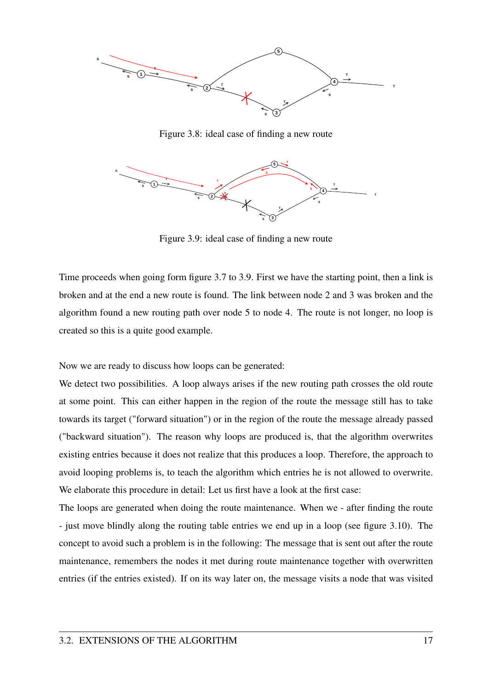

Figure 3.8: ideal case of finding a new route



Figure 3.9: ideal case of finding a new route

Time proceeds when going form figure 3.7 to 3.9. First we have the starting point, then a link is broken and at the end a new route is found. The link between node 2 and 3 was broken and the algorithm found a new routing path over node 5 to node 4. The route is not longer, no loop is created so this is a quite good example.

Now we are ready to discuss how loops can be generated:

We detect two possibilities. A loop always arises if the new routing path crosses the old route at some point. This can either happen in the region of the route the message still has to take towards its target ("forward situation") or in the region of the route the message already passed ("backward situation"). The reason why loops are produced is, that the algorithm overwrites existing entries because it does not realize that this produces a loop. Therefore, the approach to avoid looping problems is, to teach the algorithm which entries he is not allowed to overwrite. We elaborate this procedure in detail: Let us first have a look at the first case:

The loops are generated when doing the route maintenance. When we - after finding the route - just move blindly along the routing table entries we end up in a loop (see figure 3.10). The concept to avoid such a problem is in the following: The message that is sent out after the route maintenance, remembers the nodes it met during route maintenance together with overwritten entries (if the entries existed). If on its way later on, the message visits a node that was visited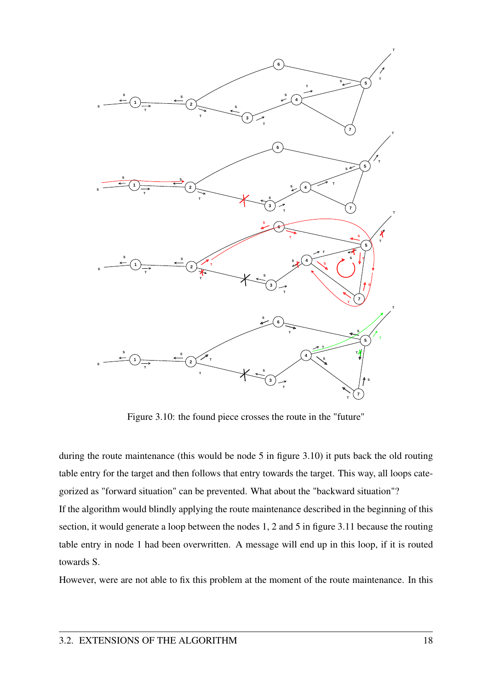

Figure 3.10: the found piece crosses the route in the "future"

during the route maintenance (this would be node 5 in figure 3.10) it puts back the old routing table entry for the target and then follows that entry towards the target. This way, all loops categorized as "forward situation" can be prevented. What about the "backward situation"? If the algorithm would blindly applying the route maintenance described in the beginning of this section, it would generate a loop between the nodes 1, 2 and 5 in figure 3.11 because the routing table entry in node 1 had been overwritten. A message will end up in this loop, if it is routed towards S.

However, were are not able to fix this problem at the moment of the route maintenance. In this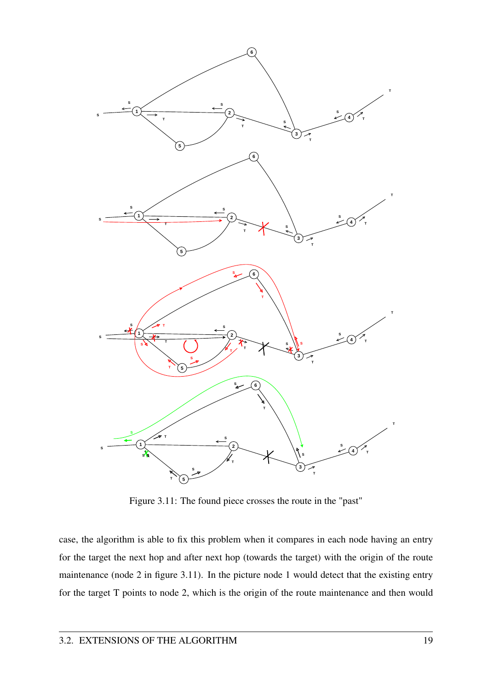

Figure 3.11: The found piece crosses the route in the "past"

case, the algorithm is able to fix this problem when it compares in each node having an entry for the target the next hop and after next hop (towards the target) with the origin of the route maintenance (node 2 in figure 3.11). In the picture node 1 would detect that the existing entry for the target T points to node 2, which is the origin of the route maintenance and then would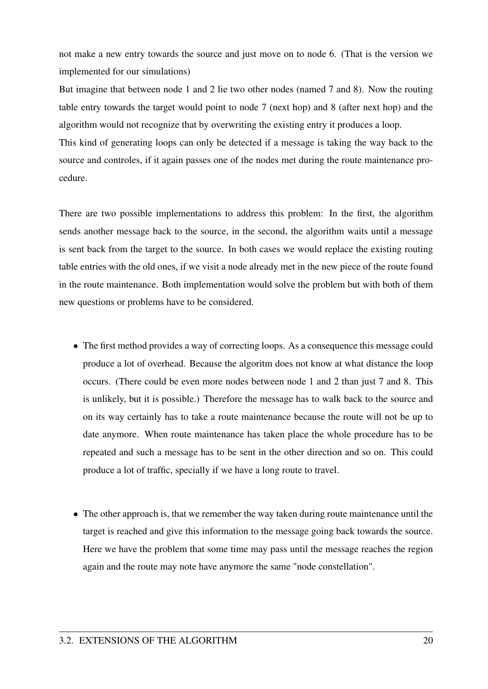not make a new entry towards the source and just move on to node 6. (That is the version we implemented for our simulations)

But imagine that between node 1 and 2 lie two other nodes (named 7 and 8). Now the routing table entry towards the target would point to node 7 (next hop) and 8 (after next hop) and the algorithm would not recognize that by overwriting the existing entry it produces a loop.

This kind of generating loops can only be detected if a message is taking the way back to the source and controles, if it again passes one of the nodes met during the route maintenance procedure.

There are two possible implementations to address this problem: In the first, the algorithm sends another message back to the source, in the second, the algorithm waits until a message is sent back from the target to the source. In both cases we would replace the existing routing table entries with the old ones, if we visit a node already met in the new piece of the route found in the route maintenance. Both implementation would solve the problem but with both of them new questions or problems have to be considered.

- The first method provides a way of correcting loops. As a consequence this message could produce a lot of overhead. Because the algoritm does not know at what distance the loop occurs. (There could be even more nodes between node 1 and 2 than just 7 and 8. This is unlikely, but it is possible.) Therefore the message has to walk back to the source and on its way certainly has to take a route maintenance because the route will not be up to date anymore. When route maintenance has taken place the whole procedure has to be repeated and such a message has to be sent in the other direction and so on. This could produce a lot of traffic, specially if we have a long route to travel.
- The other approach is, that we remember the way taken during route maintenance until the target is reached and give this information to the message going back towards the source. Here we have the problem that some time may pass until the message reaches the region again and the route may note have anymore the same "node constellation".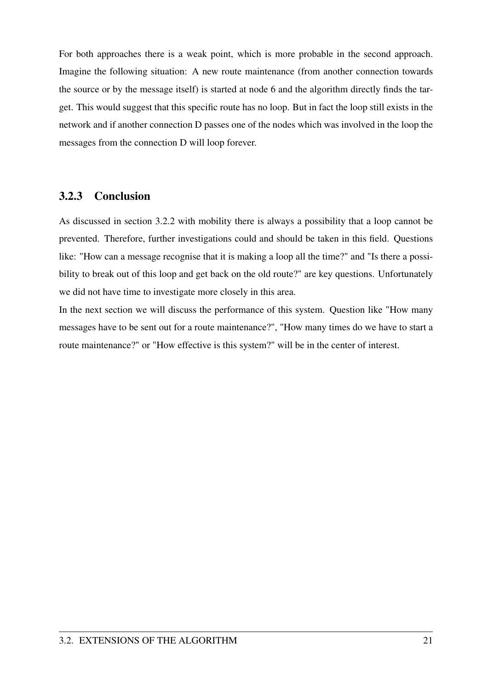For both approaches there is a weak point, which is more probable in the second approach. Imagine the following situation: A new route maintenance (from another connection towards the source or by the message itself) is started at node 6 and the algorithm directly finds the target. This would suggest that this specific route has no loop. But in fact the loop still exists in the network and if another connection D passes one of the nodes which was involved in the loop the messages from the connection D will loop forever.

### 3.2.3 Conclusion

As discussed in section 3.2.2 with mobility there is always a possibility that a loop cannot be prevented. Therefore, further investigations could and should be taken in this field. Questions like: "How can a message recognise that it is making a loop all the time?" and "Is there a possibility to break out of this loop and get back on the old route?" are key questions. Unfortunately we did not have time to investigate more closely in this area.

In the next section we will discuss the performance of this system. Question like "How many messages have to be sent out for a route maintenance?", "How many times do we have to start a route maintenance?" or "How effective is this system?" will be in the center of interest.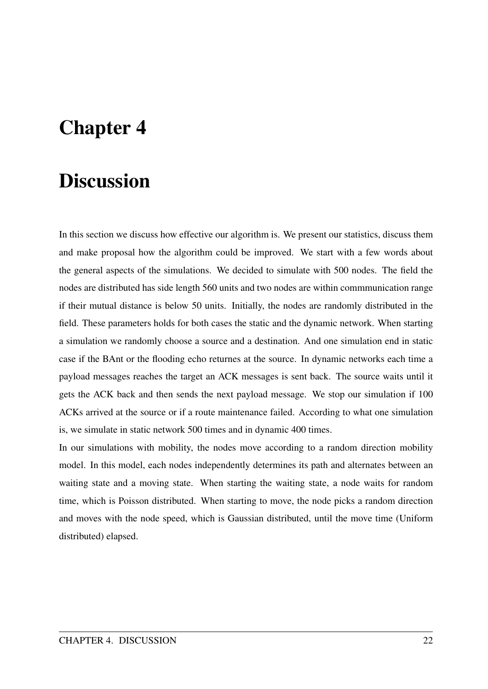# Chapter 4

## **Discussion**

In this section we discuss how effective our algorithm is. We present our statistics, discuss them and make proposal how the algorithm could be improved. We start with a few words about the general aspects of the simulations. We decided to simulate with 500 nodes. The field the nodes are distributed has side length 560 units and two nodes are within commmunication range if their mutual distance is below 50 units. Initially, the nodes are randomly distributed in the field. These parameters holds for both cases the static and the dynamic network. When starting a simulation we randomly choose a source and a destination. And one simulation end in static case if the BAnt or the flooding echo returnes at the source. In dynamic networks each time a payload messages reaches the target an ACK messages is sent back. The source waits until it gets the ACK back and then sends the next payload message. We stop our simulation if 100 ACKs arrived at the source or if a route maintenance failed. According to what one simulation is, we simulate in static network 500 times and in dynamic 400 times.

In our simulations with mobility, the nodes move according to a random direction mobility model. In this model, each nodes independently determines its path and alternates between an waiting state and a moving state. When starting the waiting state, a node waits for random time, which is Poisson distributed. When starting to move, the node picks a random direction and moves with the node speed, which is Gaussian distributed, until the move time (Uniform distributed) elapsed.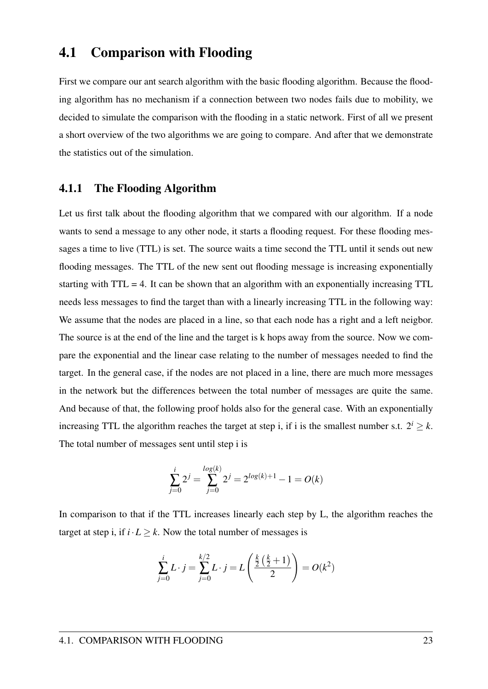## 4.1 Comparison with Flooding

First we compare our ant search algorithm with the basic flooding algorithm. Because the flooding algorithm has no mechanism if a connection between two nodes fails due to mobility, we decided to simulate the comparison with the flooding in a static network. First of all we present a short overview of the two algorithms we are going to compare. And after that we demonstrate the statistics out of the simulation.

#### 4.1.1 The Flooding Algorithm

Let us first talk about the flooding algorithm that we compared with our algorithm. If a node wants to send a message to any other node, it starts a flooding request. For these flooding messages a time to live (TTL) is set. The source waits a time second the TTL until it sends out new flooding messages. The TTL of the new sent out flooding message is increasing exponentially starting with TTL = 4. It can be shown that an algorithm with an exponentially increasing TTL needs less messages to find the target than with a linearly increasing TTL in the following way: We assume that the nodes are placed in a line, so that each node has a right and a left neigbor. The source is at the end of the line and the target is k hops away from the source. Now we compare the exponential and the linear case relating to the number of messages needed to find the target. In the general case, if the nodes are not placed in a line, there are much more messages in the network but the differences between the total number of messages are quite the same. And because of that, the following proof holds also for the general case. With an exponentially increasing TTL the algorithm reaches the target at step i, if i is the smallest number s.t.  $2^{i} > k$ . The total number of messages sent until step i is

$$
\sum_{j=0}^{i} 2^{j} = \sum_{j=0}^{\log(k)} 2^{j} = 2^{\log(k)+1} - 1 = O(k)
$$

In comparison to that if the TTL increases linearly each step by L, the algorithm reaches the target at step i, if  $i \cdot L \geq k$ . Now the total number of messages is

$$
\sum_{j=0}^{i} L \cdot j = \sum_{j=0}^{k/2} L \cdot j = L\left(\frac{\frac{k}{2}(\frac{k}{2}+1)}{2}\right) = O(k^2)
$$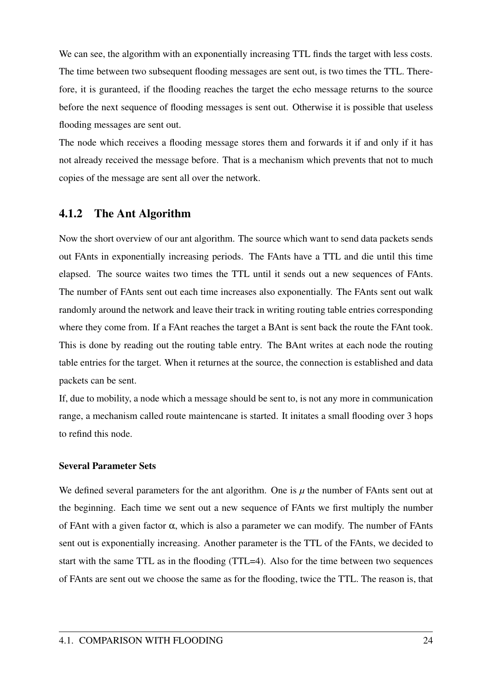We can see, the algorithm with an exponentially increasing TTL finds the target with less costs. The time between two subsequent flooding messages are sent out, is two times the TTL. Therefore, it is guranteed, if the flooding reaches the target the echo message returns to the source before the next sequence of flooding messages is sent out. Otherwise it is possible that useless flooding messages are sent out.

The node which receives a flooding message stores them and forwards it if and only if it has not already received the message before. That is a mechanism which prevents that not to much copies of the message are sent all over the network.

### 4.1.2 The Ant Algorithm

Now the short overview of our ant algorithm. The source which want to send data packets sends out FAnts in exponentially increasing periods. The FAnts have a TTL and die until this time elapsed. The source waites two times the TTL until it sends out a new sequences of FAnts. The number of FAnts sent out each time increases also exponentially. The FAnts sent out walk randomly around the network and leave their track in writing routing table entries corresponding where they come from. If a FAnt reaches the target a BAnt is sent back the route the FAnt took. This is done by reading out the routing table entry. The BAnt writes at each node the routing table entries for the target. When it returnes at the source, the connection is established and data packets can be sent.

If, due to mobility, a node which a message should be sent to, is not any more in communication range, a mechanism called route maintencane is started. It initates a small flooding over 3 hops to refind this node.

### Several Parameter Sets

We defined several parameters for the ant algorithm. One is  $\mu$  the number of FAnts sent out at the beginning. Each time we sent out a new sequence of FAnts we first multiply the number of FAnt with a given factor  $\alpha$ , which is also a parameter we can modify. The number of FAnts sent out is exponentially increasing. Another parameter is the TTL of the FAnts, we decided to start with the same TTL as in the flooding (TTL=4). Also for the time between two sequences of FAnts are sent out we choose the same as for the flooding, twice the TTL. The reason is, that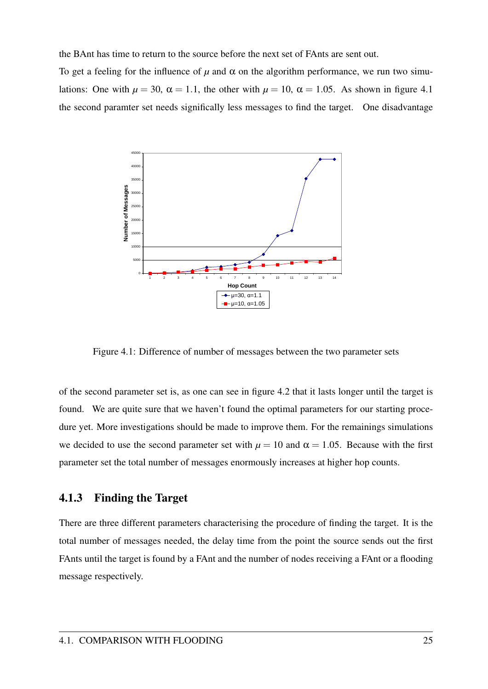the BAnt has time to return to the source before the next set of FAnts are sent out.

To get a feeling for the influence of  $\mu$  and  $\alpha$  on the algorithm performance, we run two simulations: One with  $\mu = 30$ ,  $\alpha = 1.1$ , the other with  $\mu = 10$ ,  $\alpha = 1.05$ . As shown in figure 4.1 the second paramter set needs significally less messages to find the target. One disadvantage



Figure 4.1: Difference of number of messages between the two parameter sets

of the second parameter set is, as one can see in figure 4.2 that it lasts longer until the target is found. We are quite sure that we haven't found the optimal parameters for our starting procedure yet. More investigations should be made to improve them. For the remainings simulations we decided to use the second parameter set with  $\mu = 10$  and  $\alpha = 1.05$ . Because with the first parameter set the total number of messages enormously increases at higher hop counts.

#### 4.1.3 Finding the Target

There are three different parameters characterising the procedure of finding the target. It is the total number of messages needed, the delay time from the point the source sends out the first FAnts until the target is found by a FAnt and the number of nodes receiving a FAnt or a flooding message respectively.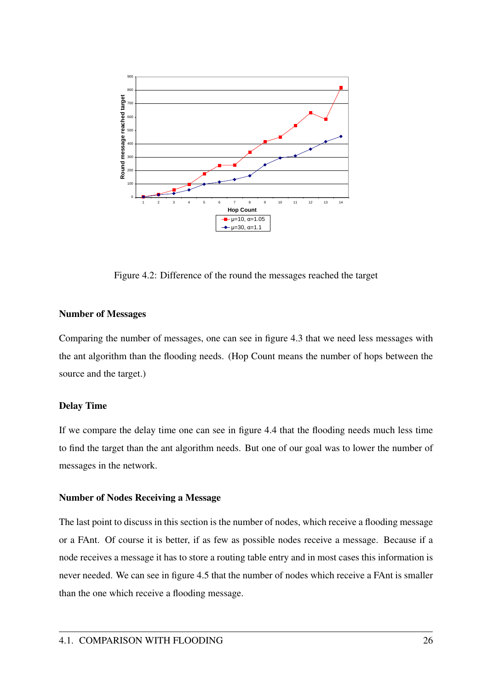

Figure 4.2: Difference of the round the messages reached the target

#### Number of Messages

Comparing the number of messages, one can see in figure 4.3 that we need less messages with the ant algorithm than the flooding needs. (Hop Count means the number of hops between the source and the target.)

#### Delay Time

If we compare the delay time one can see in figure 4.4 that the flooding needs much less time to find the target than the ant algorithm needs. But one of our goal was to lower the number of messages in the network.

#### Number of Nodes Receiving a Message

The last point to discuss in this section is the number of nodes, which receive a flooding message or a FAnt. Of course it is better, if as few as possible nodes receive a message. Because if a node receives a message it has to store a routing table entry and in most cases this information is never needed. We can see in figure 4.5 that the number of nodes which receive a FAnt is smaller than the one which receive a flooding message.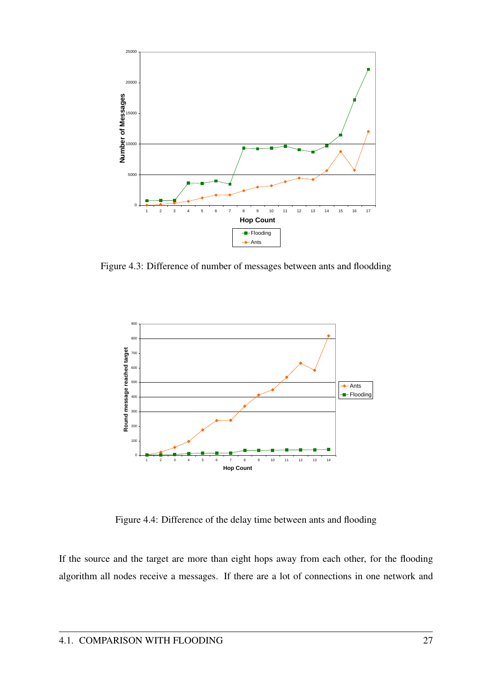

Figure 4.3: Difference of number of messages between ants and floodding



Figure 4.4: Difference of the delay time between ants and flooding

If the source and the target are more than eight hops away from each other, for the flooding algorithm all nodes receive a messages. If there are a lot of connections in one network and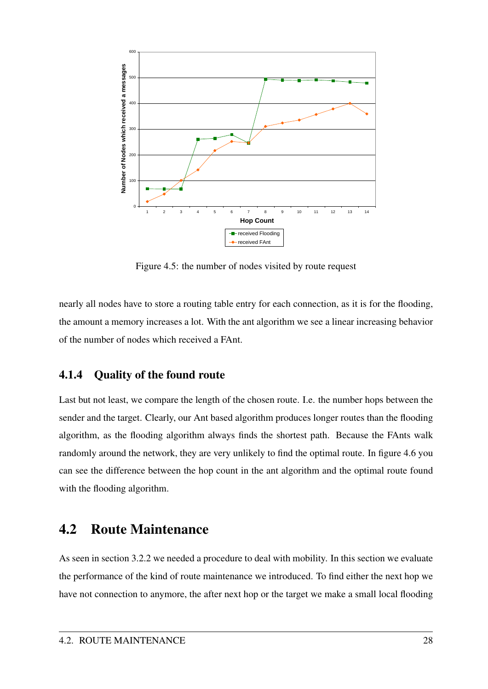

Figure 4.5: the number of nodes visited by route request

nearly all nodes have to store a routing table entry for each connection, as it is for the flooding, the amount a memory increases a lot. With the ant algorithm we see a linear increasing behavior of the number of nodes which received a FAnt.

### 4.1.4 Quality of the found route

Last but not least, we compare the length of the chosen route. I.e. the number hops between the sender and the target. Clearly, our Ant based algorithm produces longer routes than the flooding algorithm, as the flooding algorithm always finds the shortest path. Because the FAnts walk randomly around the network, they are very unlikely to find the optimal route. In figure 4.6 you can see the difference between the hop count in the ant algorithm and the optimal route found with the flooding algorithm.

## 4.2 Route Maintenance

As seen in section 3.2.2 we needed a procedure to deal with mobility. In this section we evaluate the performance of the kind of route maintenance we introduced. To find either the next hop we have not connection to anymore, the after next hop or the target we make a small local flooding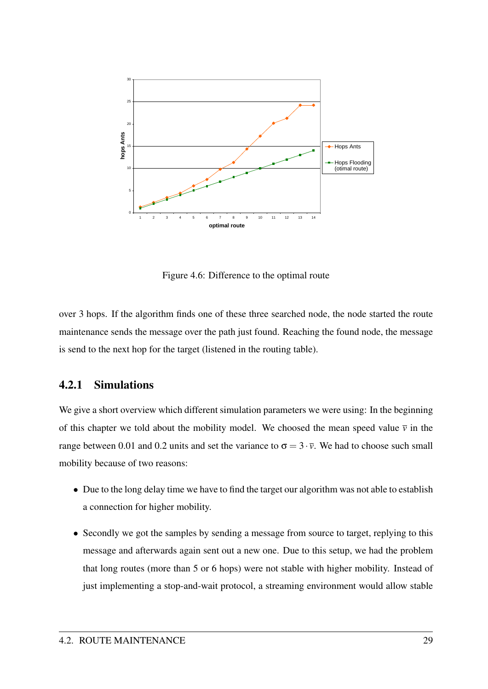

Figure 4.6: Difference to the optimal route

over 3 hops. If the algorithm finds one of these three searched node, the node started the route maintenance sends the message over the path just found. Reaching the found node, the message is send to the next hop for the target (listened in the routing table).

### 4.2.1 Simulations

We give a short overview which different simulation parameters we were using: In the beginning of this chapter we told about the mobility model. We choosed the mean speed value  $\bar{v}$  in the range between 0.01 and 0.2 units and set the variance to  $\sigma = 3 \cdot \overline{v}$ . We had to choose such small mobility because of two reasons:

- Due to the long delay time we have to find the target our algorithm was not able to establish a connection for higher mobility.
- Secondly we got the samples by sending a message from source to target, replying to this message and afterwards again sent out a new one. Due to this setup, we had the problem that long routes (more than 5 or 6 hops) were not stable with higher mobility. Instead of just implementing a stop-and-wait protocol, a streaming environment would allow stable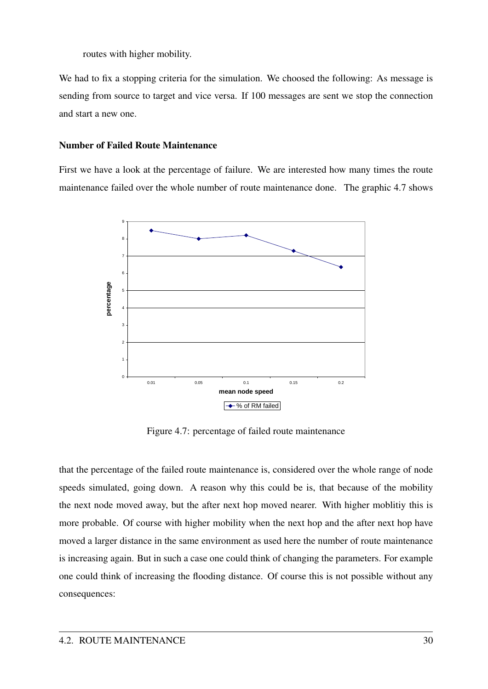routes with higher mobility.

We had to fix a stopping criteria for the simulation. We choosed the following: As message is sending from source to target and vice versa. If 100 messages are sent we stop the connection and start a new one.

#### Number of Failed Route Maintenance

First we have a look at the percentage of failure. We are interested how many times the route maintenance failed over the whole number of route maintenance done. The graphic 4.7 shows



Figure 4.7: percentage of failed route maintenance

that the percentage of the failed route maintenance is, considered over the whole range of node speeds simulated, going down. A reason why this could be is, that because of the mobility the next node moved away, but the after next hop moved nearer. With higher moblitiy this is more probable. Of course with higher mobility when the next hop and the after next hop have moved a larger distance in the same environment as used here the number of route maintenance is increasing again. But in such a case one could think of changing the parameters. For example one could think of increasing the flooding distance. Of course this is not possible without any consequences: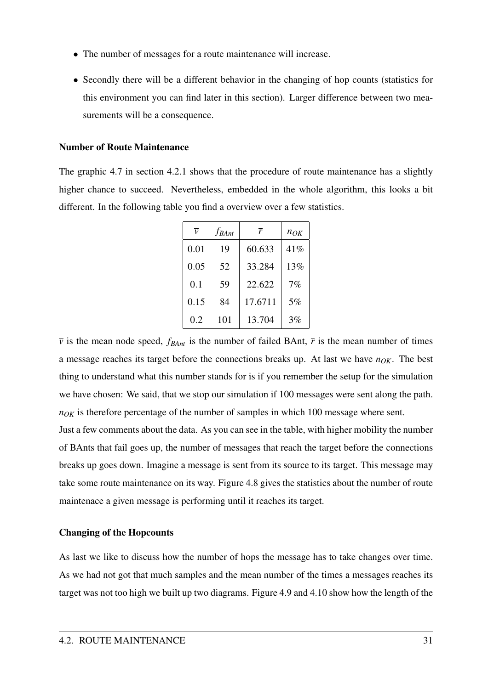- The number of messages for a route maintenance will increase.
- Secondly there will be a different behavior in the changing of hop counts (statistics for this environment you can find later in this section). Larger difference between two measurements will be a consequence.

#### Number of Route Maintenance

The graphic 4.7 in section 4.2.1 shows that the procedure of route maintenance has a slightly higher chance to succeed. Nevertheless, embedded in the whole algorithm, this looks a bit different. In the following table you find a overview over a few statistics.

| $\overline{\nu}$ | $f_{BAnt}$ | $\overline{r}$ | $n_{OK}$ |
|------------------|------------|----------------|----------|
| 0.01             | 19         | 60.633         | 41%      |
| 0.05             | 52         | 33.284         | 13%      |
| 0.1              | 59         | 22.622         | 7%       |
| 0.15             | 84         | 17.6711        | 5%       |
| 0.2              | 101        | 13.704         | 3%       |

 $\bar{v}$  is the mean node speed,  $f_{\text{BAnt}}$  is the number of failed BAnt,  $\bar{r}$  is the mean number of times a message reaches its target before the connections breaks up. At last we have *nOK*. The best thing to understand what this number stands for is if you remember the setup for the simulation we have chosen: We said, that we stop our simulation if 100 messages were sent along the path.  $n_{OK}$  is therefore percentage of the number of samples in which 100 message where sent.

Just a few comments about the data. As you can see in the table, with higher mobility the number of BAnts that fail goes up, the number of messages that reach the target before the connections breaks up goes down. Imagine a message is sent from its source to its target. This message may take some route maintenance on its way. Figure 4.8 gives the statistics about the number of route maintenace a given message is performing until it reaches its target.

#### Changing of the Hopcounts

As last we like to discuss how the number of hops the message has to take changes over time. As we had not got that much samples and the mean number of the times a messages reaches its target was not too high we built up two diagrams. Figure 4.9 and 4.10 show how the length of the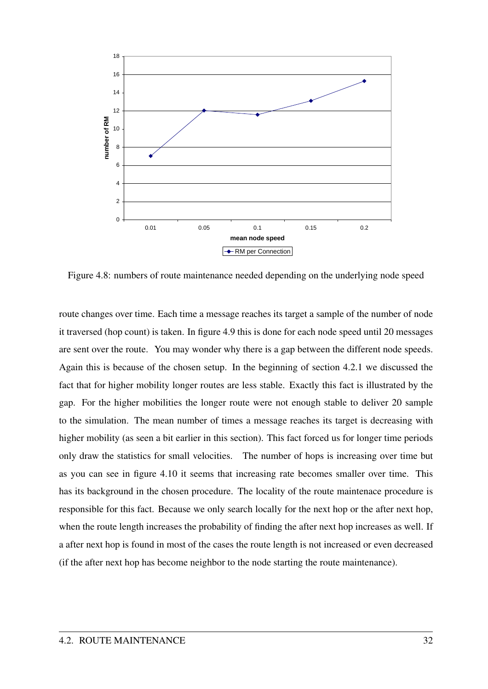

Figure 4.8: numbers of route maintenance needed depending on the underlying node speed

route changes over time. Each time a message reaches its target a sample of the number of node it traversed (hop count) is taken. In figure 4.9 this is done for each node speed until 20 messages are sent over the route. You may wonder why there is a gap between the different node speeds. Again this is because of the chosen setup. In the beginning of section 4.2.1 we discussed the fact that for higher mobility longer routes are less stable. Exactly this fact is illustrated by the gap. For the higher mobilities the longer route were not enough stable to deliver 20 sample to the simulation. The mean number of times a message reaches its target is decreasing with higher mobility (as seen a bit earlier in this section). This fact forced us for longer time periods only draw the statistics for small velocities. The number of hops is increasing over time but as you can see in figure 4.10 it seems that increasing rate becomes smaller over time. This has its background in the chosen procedure. The locality of the route maintenace procedure is responsible for this fact. Because we only search locally for the next hop or the after next hop, when the route length increases the probability of finding the after next hop increases as well. If a after next hop is found in most of the cases the route length is not increased or even decreased (if the after next hop has become neighbor to the node starting the route maintenance).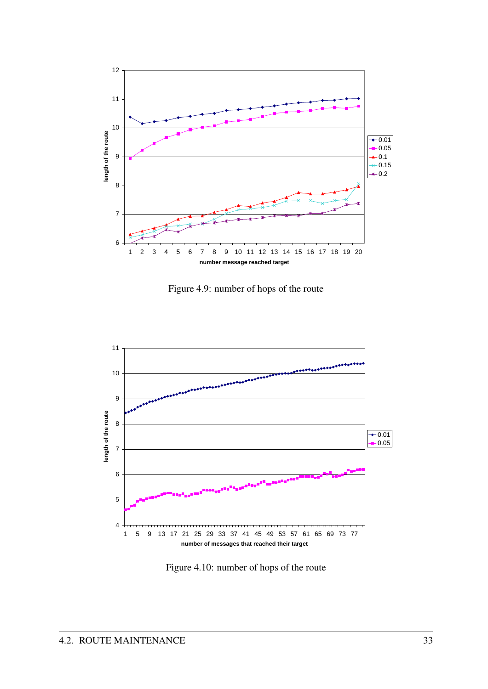

Figure 4.9: number of hops of the route



Figure 4.10: number of hops of the route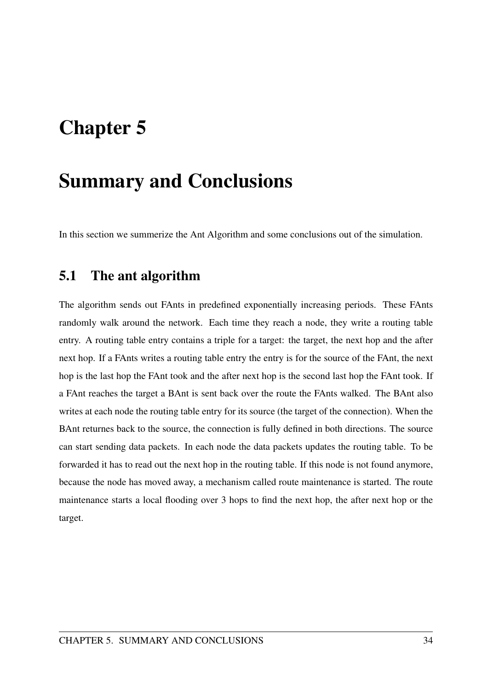# Chapter 5

# Summary and Conclusions

In this section we summerize the Ant Algorithm and some conclusions out of the simulation.

## 5.1 The ant algorithm

The algorithm sends out FAnts in predefined exponentially increasing periods. These FAnts randomly walk around the network. Each time they reach a node, they write a routing table entry. A routing table entry contains a triple for a target: the target, the next hop and the after next hop. If a FAnts writes a routing table entry the entry is for the source of the FAnt, the next hop is the last hop the FAnt took and the after next hop is the second last hop the FAnt took. If a FAnt reaches the target a BAnt is sent back over the route the FAnts walked. The BAnt also writes at each node the routing table entry for its source (the target of the connection). When the BAnt returnes back to the source, the connection is fully defined in both directions. The source can start sending data packets. In each node the data packets updates the routing table. To be forwarded it has to read out the next hop in the routing table. If this node is not found anymore, because the node has moved away, a mechanism called route maintenance is started. The route maintenance starts a local flooding over 3 hops to find the next hop, the after next hop or the target.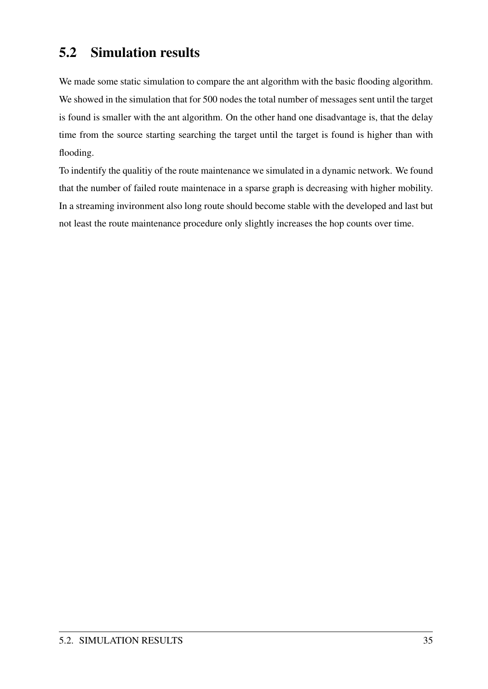## 5.2 Simulation results

We made some static simulation to compare the ant algorithm with the basic flooding algorithm. We showed in the simulation that for 500 nodes the total number of messages sent until the target is found is smaller with the ant algorithm. On the other hand one disadvantage is, that the delay time from the source starting searching the target until the target is found is higher than with flooding.

To indentify the qualitiy of the route maintenance we simulated in a dynamic network. We found that the number of failed route maintenace in a sparse graph is decreasing with higher mobility. In a streaming invironment also long route should become stable with the developed and last but not least the route maintenance procedure only slightly increases the hop counts over time.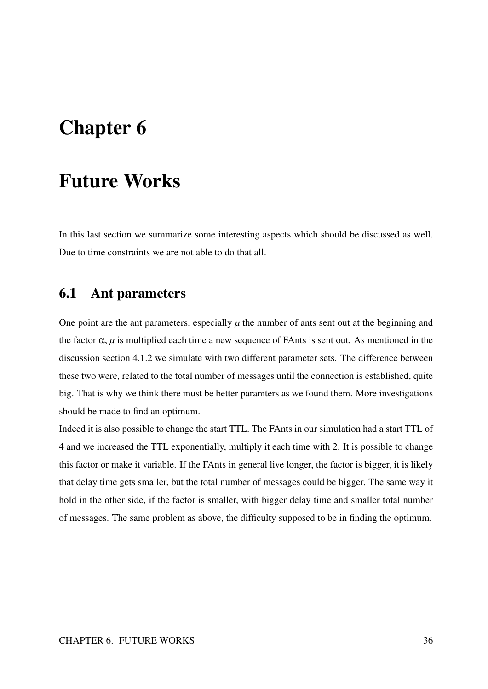# Chapter 6

## Future Works

In this last section we summarize some interesting aspects which should be discussed as well. Due to time constraints we are not able to do that all.

## 6.1 Ant parameters

One point are the ant parameters, especially  $\mu$  the number of ants sent out at the beginning and the factor  $\alpha$ ,  $\mu$  is multiplied each time a new sequence of FAnts is sent out. As mentioned in the discussion section 4.1.2 we simulate with two different parameter sets. The difference between these two were, related to the total number of messages until the connection is established, quite big. That is why we think there must be better paramters as we found them. More investigations should be made to find an optimum.

Indeed it is also possible to change the start TTL. The FAnts in our simulation had a start TTL of 4 and we increased the TTL exponentially, multiply it each time with 2. It is possible to change this factor or make it variable. If the FAnts in general live longer, the factor is bigger, it is likely that delay time gets smaller, but the total number of messages could be bigger. The same way it hold in the other side, if the factor is smaller, with bigger delay time and smaller total number of messages. The same problem as above, the difficulty supposed to be in finding the optimum.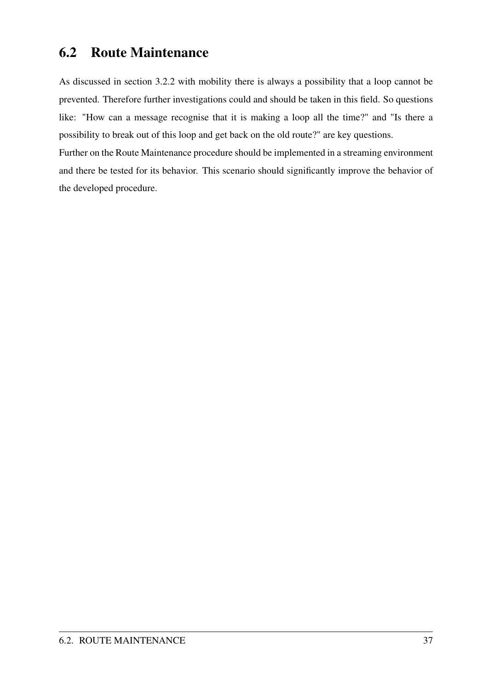## 6.2 Route Maintenance

As discussed in section 3.2.2 with mobility there is always a possibility that a loop cannot be prevented. Therefore further investigations could and should be taken in this field. So questions like: "How can a message recognise that it is making a loop all the time?" and "Is there a possibility to break out of this loop and get back on the old route?" are key questions.

Further on the Route Maintenance procedure should be implemented in a streaming environment and there be tested for its behavior. This scenario should significantly improve the behavior of the developed procedure.